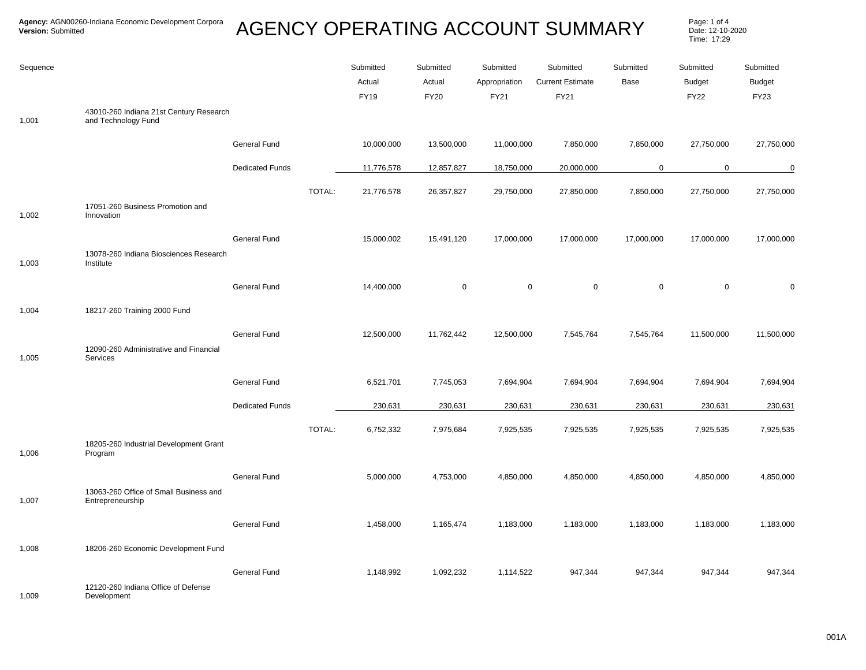## AGENCY OPERATING ACCOUNT SUMMARY Page: 1 of 4

Date: 12-10-2020 Time: 17:29

| Sequence |                                                                |                        |        | Submitted<br>Actual<br><b>FY19</b> | Submitted<br>Actual<br><b>FY20</b> | Submitted<br>Appropriation<br>FY21 | Submitted<br><b>Current Estimate</b><br>FY21 | Submitted<br>Base | Submitted<br><b>Budget</b><br><b>FY22</b> | Submitted<br><b>Budget</b><br>FY23 |
|----------|----------------------------------------------------------------|------------------------|--------|------------------------------------|------------------------------------|------------------------------------|----------------------------------------------|-------------------|-------------------------------------------|------------------------------------|
| 1,001    | 43010-260 Indiana 21st Century Research<br>and Technology Fund |                        |        |                                    |                                    |                                    |                                              |                   |                                           |                                    |
|          |                                                                | General Fund           |        | 10,000,000                         | 13,500,000                         | 11,000,000                         | 7,850,000                                    | 7,850,000         | 27,750,000                                | 27,750,000                         |
|          |                                                                | <b>Dedicated Funds</b> |        | 11,776,578                         | 12,857,827                         | 18,750,000                         | 20,000,000                                   | $\mathbf 0$       | $\mathbf 0$                               | $\mathbf 0$                        |
| 1,002    | 17051-260 Business Promotion and<br>Innovation                 |                        | TOTAL: | 21,776,578                         | 26,357,827                         | 29,750,000                         | 27,850,000                                   | 7,850,000         | 27,750,000                                | 27,750,000                         |
| 1,003    | 13078-260 Indiana Biosciences Research<br>Institute            | General Fund           |        | 15,000,002                         | 15,491,120                         | 17,000,000                         | 17,000,000                                   | 17,000,000        | 17,000,000                                | 17,000,000                         |
|          |                                                                | <b>General Fund</b>    |        | 14,400,000                         | $\mathbf 0$                        | $\mathbf 0$                        | $\mathbf 0$                                  | $\mathbf 0$       | $\mathbf 0$                               | $\mathbf 0$                        |
| 1,004    | 18217-260 Training 2000 Fund                                   |                        |        |                                    |                                    |                                    |                                              |                   |                                           |                                    |
| 1,005    | 12090-260 Administrative and Financial<br>Services             | General Fund           |        | 12,500,000                         | 11,762,442                         | 12,500,000                         | 7,545,764                                    | 7,545,764         | 11,500,000                                | 11,500,000                         |
|          |                                                                | General Fund           |        | 6,521,701                          | 7,745,053                          | 7,694,904                          | 7,694,904                                    | 7,694,904         | 7,694,904                                 | 7,694,904                          |
|          |                                                                | <b>Dedicated Funds</b> |        | 230,631                            | 230,631                            | 230,631                            | 230,631                                      | 230,631           | 230,631                                   | 230,631                            |
| 1,006    | 18205-260 Industrial Development Grant<br>Program              |                        | TOTAL: | 6,752,332                          | 7,975,684                          | 7,925,535                          | 7,925,535                                    | 7,925,535         | 7,925,535                                 | 7,925,535                          |
|          | 13063-260 Office of Small Business and                         | General Fund           |        | 5,000,000                          | 4,753,000                          | 4,850,000                          | 4,850,000                                    | 4,850,000         | 4,850,000                                 | 4,850,000                          |
| 1,007    | Entrepreneurship                                               | General Fund           |        | 1,458,000                          | 1,165,474                          | 1,183,000                          | 1,183,000                                    | 1,183,000         | 1,183,000                                 | 1,183,000                          |
| 1,008    | 18206-260 Economic Development Fund                            |                        |        |                                    |                                    |                                    |                                              |                   |                                           |                                    |
| 1,009    | 12120-260 Indiana Office of Defense<br>Development             | <b>General Fund</b>    |        | 1,148,992                          | 1,092,232                          | 1,114,522                          | 947,344                                      | 947,344           | 947,344                                   | 947,344                            |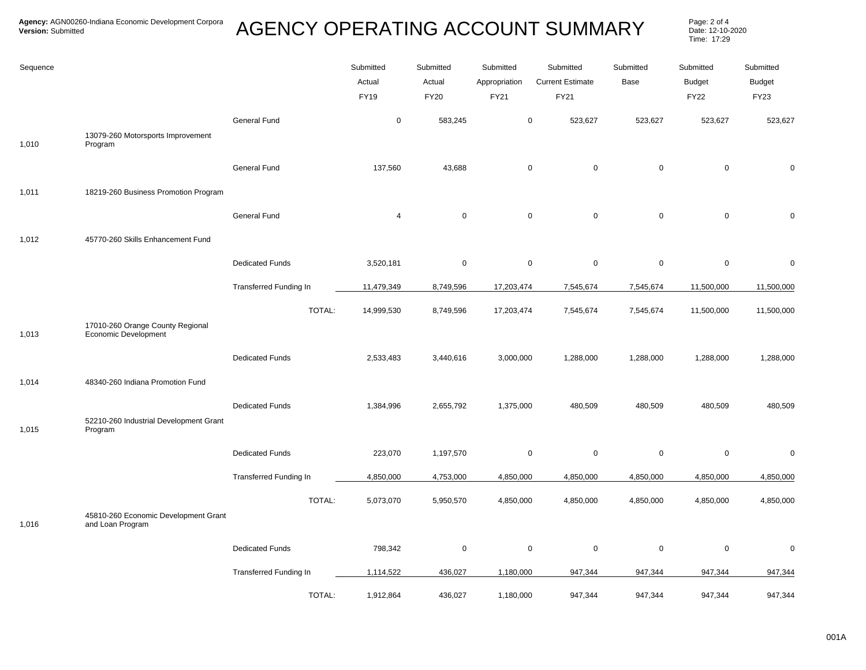## AGENCY OPERATING ACCOUNT SUMMARY Page: 2 of 4

Date: 12-10-2020 Time: 17:29

| Sequence |                                                          |                               | Submitted   | Submitted   | Submitted     | Submitted                        | Submitted   | Submitted     | Submitted     |
|----------|----------------------------------------------------------|-------------------------------|-------------|-------------|---------------|----------------------------------|-------------|---------------|---------------|
|          |                                                          |                               | Actual      | Actual      | Appropriation | <b>Current Estimate</b>          | Base        | <b>Budget</b> | <b>Budget</b> |
|          |                                                          |                               | <b>FY19</b> | <b>FY20</b> | FY21          | <b>FY21</b>                      |             | <b>FY22</b>   | <b>FY23</b>   |
|          |                                                          | <b>General Fund</b>           | $\pmb{0}$   | 583,245     |               | $\mathbf 0$<br>523,627           | 523,627     | 523,627       | 523,627       |
| 1,010    | 13079-260 Motorsports Improvement<br>Program             |                               |             |             |               |                                  |             |               |               |
|          |                                                          | <b>General Fund</b>           | 137,560     | 43,688      |               | $\mathsf{O}\xspace$<br>$\pmb{0}$ | $\mathsf 0$ | $\pmb{0}$     | $\Omega$      |
| 1,011    | 18219-260 Business Promotion Program                     |                               |             |             |               |                                  |             |               |               |
|          |                                                          | <b>General Fund</b>           | 4           | $\mathbf 0$ |               | $\mathbf 0$<br>$\mathsf 0$       | $\mathbf 0$ | $\pmb{0}$     | $\mathbf 0$   |
| 1,012    | 45770-260 Skills Enhancement Fund                        |                               |             |             |               |                                  |             |               |               |
|          |                                                          | <b>Dedicated Funds</b>        | 3,520,181   | $\mathbf 0$ |               | $\mathsf 0$<br>$\mathsf 0$       | $\mathbf 0$ | $\mathbf 0$   | $\mathbf 0$   |
|          |                                                          | <b>Transferred Funding In</b> | 11,479,349  | 8,749,596   | 17,203,474    | 7,545,674                        | 7,545,674   | 11,500,000    | 11,500,000    |
|          |                                                          | TOTAL:                        | 14,999,530  | 8,749,596   | 17,203,474    | 7,545,674                        | 7,545,674   | 11,500,000    | 11,500,000    |
| 1,013    | 17010-260 Orange County Regional<br>Economic Development |                               |             |             |               |                                  |             |               |               |
|          |                                                          | <b>Dedicated Funds</b>        | 2,533,483   | 3,440,616   | 3,000,000     | 1,288,000                        | 1,288,000   | 1,288,000     | 1,288,000     |
| 1,014    | 48340-260 Indiana Promotion Fund                         |                               |             |             |               |                                  |             |               |               |
|          |                                                          | <b>Dedicated Funds</b>        | 1,384,996   | 2,655,792   | 1,375,000     | 480,509                          | 480,509     | 480,509       | 480,509       |
| 1,015    | 52210-260 Industrial Development Grant<br>Program        |                               |             |             |               |                                  |             |               |               |
|          |                                                          | <b>Dedicated Funds</b>        | 223,070     | 1,197,570   |               | $\mathsf 0$<br>0                 | $\mathbf 0$ | 0             | $\Omega$      |
|          |                                                          | <b>Transferred Funding In</b> | 4,850,000   | 4,753,000   | 4,850,000     | 4,850,000                        | 4,850,000   | 4,850,000     | 4,850,000     |
|          |                                                          | TOTAL:                        | 5,073,070   | 5,950,570   | 4,850,000     | 4,850,000                        | 4,850,000   | 4,850,000     | 4,850,000     |
| 1,016    | 45810-260 Economic Development Grant<br>and Loan Program |                               |             |             |               |                                  |             |               |               |
|          |                                                          | <b>Dedicated Funds</b>        | 798,342     | $\mathbf 0$ |               | $\mathsf 0$<br>0                 | $\mathsf 0$ | $\mathbf 0$   | $\mathbf 0$   |
|          |                                                          | <b>Transferred Funding In</b> | 1,114,522   | 436,027     | 1,180,000     | 947,344                          | 947,344     | 947,344       | 947,344       |
|          |                                                          | TOTAL:                        | 1,912,864   | 436,027     | 1,180,000     | 947,344                          | 947,344     | 947,344       | 947,344       |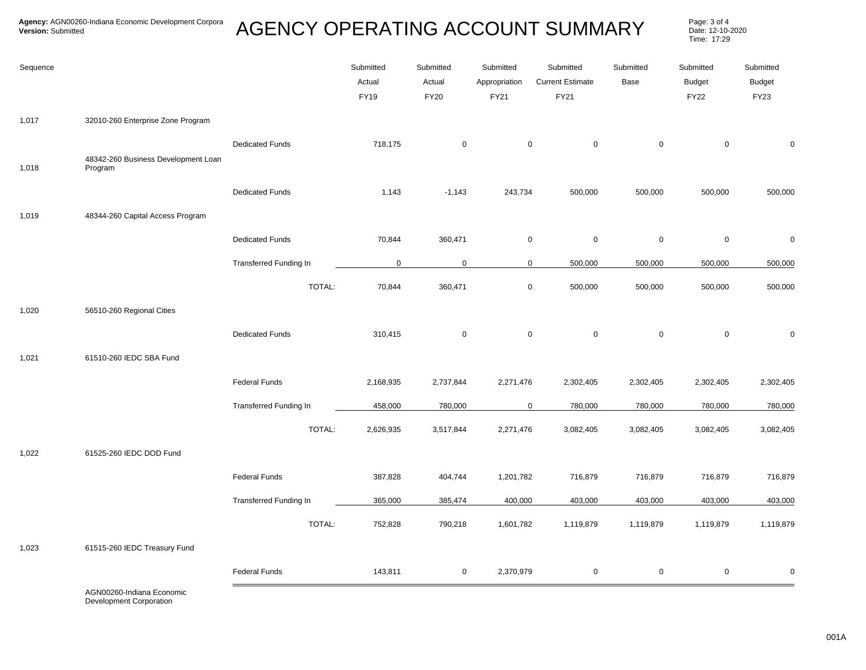## AGENCY OPERATING ACCOUNT SUMMARY Page: 3 of 4

Date: 12-10-2020 Time: 17:29

| 32010-260 Enterprise Zone Program<br>1,017<br>$\mathsf 0$<br>$\mathsf{O}\xspace$<br>$\mathsf{O}\xspace$<br>$\mathsf 0$<br><b>Dedicated Funds</b><br>718,175<br>$\mathbf 0$<br>0<br>48342-260 Business Development Loan<br>1,018<br>Program<br><b>Dedicated Funds</b><br>1,143<br>243,734<br>500,000<br>500,000<br>500,000<br>500,000<br>$-1,143$<br>48344-260 Capital Access Program<br>1,019<br>70,844<br>$\mathbf 0$<br>$\mathsf{O}\xspace$<br>$\mathsf{O}\xspace$<br>$\mathsf{O}\xspace$<br><b>Dedicated Funds</b><br>360,471<br>$\pmb{0}$<br>Transferred Funding In<br>$\mathbf 0$<br>500,000<br>500,000<br>$\mathbf 0$<br>$\mathbf 0$<br>500,000<br>500,000<br>TOTAL:<br>$\mathsf{O}\xspace$<br>70,844<br>360,471<br>500,000<br>500,000<br>500,000<br>500,000<br>1,020<br>56510-260 Regional Cities<br>$\mathsf{O}\xspace$<br><b>Dedicated Funds</b><br>$\mathsf 0$<br>$\mathbf 0$<br>$\mathsf 0$<br>$\mathbf 0$<br>310,415<br>0<br>61510-260 IEDC SBA Fund<br>1,021<br><b>Federal Funds</b><br>2,271,476<br>2,302,405<br>2,302,405<br>2,302,405<br>2,168,935<br>2,737,844<br>2,302,405<br><b>Transferred Funding In</b><br>458,000<br>780,000<br>$\mathbf 0$<br>780,000<br>780,000<br>780,000<br>780,000<br>TOTAL:<br>2,626,935<br>3,517,844<br>2,271,476<br>3,082,405<br>3,082,405<br>3,082,405<br>3,082,405<br>1,022<br>61525-260 IEDC DOD Fund<br><b>Federal Funds</b><br>716,879<br>387,828<br>404,744<br>1,201,782<br>716,879<br>716,879<br>716,879 | Sequence |  | Submitted<br>Actual<br><b>FY19</b> | Submitted<br>Actual<br><b>FY20</b> | Submitted<br>Appropriation<br>FY21 | Submitted<br><b>Current Estimate</b><br><b>FY21</b> | Submitted<br>Base | Submitted<br><b>Budget</b><br><b>FY22</b> | Submitted<br><b>Budget</b><br><b>FY23</b> |
|----------------------------------------------------------------------------------------------------------------------------------------------------------------------------------------------------------------------------------------------------------------------------------------------------------------------------------------------------------------------------------------------------------------------------------------------------------------------------------------------------------------------------------------------------------------------------------------------------------------------------------------------------------------------------------------------------------------------------------------------------------------------------------------------------------------------------------------------------------------------------------------------------------------------------------------------------------------------------------------------------------------------------------------------------------------------------------------------------------------------------------------------------------------------------------------------------------------------------------------------------------------------------------------------------------------------------------------------------------------------------------------------------------------------------------------------------------------|----------|--|------------------------------------|------------------------------------|------------------------------------|-----------------------------------------------------|-------------------|-------------------------------------------|-------------------------------------------|
|                                                                                                                                                                                                                                                                                                                                                                                                                                                                                                                                                                                                                                                                                                                                                                                                                                                                                                                                                                                                                                                                                                                                                                                                                                                                                                                                                                                                                                                                |          |  |                                    |                                    |                                    |                                                     |                   |                                           |                                           |
|                                                                                                                                                                                                                                                                                                                                                                                                                                                                                                                                                                                                                                                                                                                                                                                                                                                                                                                                                                                                                                                                                                                                                                                                                                                                                                                                                                                                                                                                |          |  |                                    |                                    |                                    |                                                     |                   |                                           |                                           |
|                                                                                                                                                                                                                                                                                                                                                                                                                                                                                                                                                                                                                                                                                                                                                                                                                                                                                                                                                                                                                                                                                                                                                                                                                                                                                                                                                                                                                                                                |          |  |                                    |                                    |                                    |                                                     |                   |                                           |                                           |
|                                                                                                                                                                                                                                                                                                                                                                                                                                                                                                                                                                                                                                                                                                                                                                                                                                                                                                                                                                                                                                                                                                                                                                                                                                                                                                                                                                                                                                                                |          |  |                                    |                                    |                                    |                                                     |                   |                                           |                                           |
|                                                                                                                                                                                                                                                                                                                                                                                                                                                                                                                                                                                                                                                                                                                                                                                                                                                                                                                                                                                                                                                                                                                                                                                                                                                                                                                                                                                                                                                                |          |  |                                    |                                    |                                    |                                                     |                   |                                           |                                           |
|                                                                                                                                                                                                                                                                                                                                                                                                                                                                                                                                                                                                                                                                                                                                                                                                                                                                                                                                                                                                                                                                                                                                                                                                                                                                                                                                                                                                                                                                |          |  |                                    |                                    |                                    |                                                     |                   |                                           |                                           |
|                                                                                                                                                                                                                                                                                                                                                                                                                                                                                                                                                                                                                                                                                                                                                                                                                                                                                                                                                                                                                                                                                                                                                                                                                                                                                                                                                                                                                                                                |          |  |                                    |                                    |                                    |                                                     |                   |                                           |                                           |
|                                                                                                                                                                                                                                                                                                                                                                                                                                                                                                                                                                                                                                                                                                                                                                                                                                                                                                                                                                                                                                                                                                                                                                                                                                                                                                                                                                                                                                                                |          |  |                                    |                                    |                                    |                                                     |                   |                                           |                                           |
|                                                                                                                                                                                                                                                                                                                                                                                                                                                                                                                                                                                                                                                                                                                                                                                                                                                                                                                                                                                                                                                                                                                                                                                                                                                                                                                                                                                                                                                                |          |  |                                    |                                    |                                    |                                                     |                   |                                           |                                           |
|                                                                                                                                                                                                                                                                                                                                                                                                                                                                                                                                                                                                                                                                                                                                                                                                                                                                                                                                                                                                                                                                                                                                                                                                                                                                                                                                                                                                                                                                |          |  |                                    |                                    |                                    |                                                     |                   |                                           |                                           |
|                                                                                                                                                                                                                                                                                                                                                                                                                                                                                                                                                                                                                                                                                                                                                                                                                                                                                                                                                                                                                                                                                                                                                                                                                                                                                                                                                                                                                                                                |          |  |                                    |                                    |                                    |                                                     |                   |                                           |                                           |
|                                                                                                                                                                                                                                                                                                                                                                                                                                                                                                                                                                                                                                                                                                                                                                                                                                                                                                                                                                                                                                                                                                                                                                                                                                                                                                                                                                                                                                                                |          |  |                                    |                                    |                                    |                                                     |                   |                                           |                                           |
|                                                                                                                                                                                                                                                                                                                                                                                                                                                                                                                                                                                                                                                                                                                                                                                                                                                                                                                                                                                                                                                                                                                                                                                                                                                                                                                                                                                                                                                                |          |  |                                    |                                    |                                    |                                                     |                   |                                           |                                           |
|                                                                                                                                                                                                                                                                                                                                                                                                                                                                                                                                                                                                                                                                                                                                                                                                                                                                                                                                                                                                                                                                                                                                                                                                                                                                                                                                                                                                                                                                |          |  |                                    |                                    |                                    |                                                     |                   |                                           |                                           |
|                                                                                                                                                                                                                                                                                                                                                                                                                                                                                                                                                                                                                                                                                                                                                                                                                                                                                                                                                                                                                                                                                                                                                                                                                                                                                                                                                                                                                                                                |          |  |                                    |                                    |                                    |                                                     |                   |                                           |                                           |
| <b>Transferred Funding In</b><br>365,000<br>385,474<br>400,000<br>403,000<br>403,000<br>403,000<br>403,000                                                                                                                                                                                                                                                                                                                                                                                                                                                                                                                                                                                                                                                                                                                                                                                                                                                                                                                                                                                                                                                                                                                                                                                                                                                                                                                                                     |          |  |                                    |                                    |                                    |                                                     |                   |                                           |                                           |
| TOTAL:<br>752,828<br>790,218<br>1,601,782<br>1,119,879<br>1,119,879<br>1,119,879<br>1,119,879                                                                                                                                                                                                                                                                                                                                                                                                                                                                                                                                                                                                                                                                                                                                                                                                                                                                                                                                                                                                                                                                                                                                                                                                                                                                                                                                                                  |          |  |                                    |                                    |                                    |                                                     |                   |                                           |                                           |
| 61515-260 IEDC Treasury Fund<br>1,023                                                                                                                                                                                                                                                                                                                                                                                                                                                                                                                                                                                                                                                                                                                                                                                                                                                                                                                                                                                                                                                                                                                                                                                                                                                                                                                                                                                                                          |          |  |                                    |                                    |                                    |                                                     |                   |                                           |                                           |
| <b>Federal Funds</b><br>$\mathsf 0$<br>$\mathsf 0$<br>$\mathsf{O}$<br>$\mathsf 0$<br>143,811<br>$\mathbf 0$<br>2,370,979                                                                                                                                                                                                                                                                                                                                                                                                                                                                                                                                                                                                                                                                                                                                                                                                                                                                                                                                                                                                                                                                                                                                                                                                                                                                                                                                       |          |  |                                    |                                    |                                    |                                                     |                   |                                           |                                           |

AGN00260-Indiana Economic Development Corporation